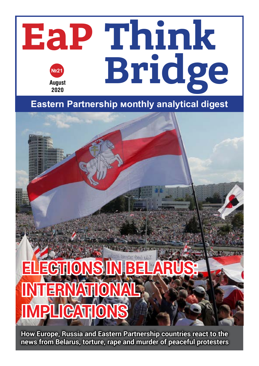### **EaP Think Bridge №21 August 2020**

### **Eastern Partnership мonthly analytical digest**

## **ELECTIONS INTERNATIONAL IMPLICATIO**

**How Europe, Russia and Eastern Partnership countries react to the news from Belarus, torture, rape and murder of peaceful protesters**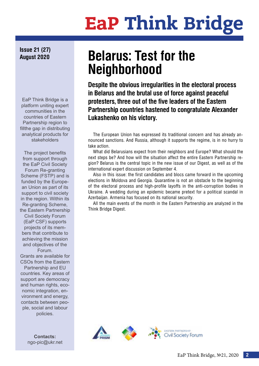## **EaP Think Bridge**

**Issue 21 (27)**

EaP Think Bridge is a platform uniting expert communities in the countries of Eastern Partnership region to fillthe gap in distributing analytical products for stakeholders

The project benefits from support through the EaP Civil Society Forum Re-granting Scheme (FSTP) and is funded by the European Union as part of its support to civil society in the region. Within its Re-granting Scheme, the Eastern Partnership Civil Society Forum (EaP CSF) supports projects of its members that contribute to achieving the mission and objectives of the Forum. Grants are available for CSOs from the Eastern Partnership and EU countries. Key areas of

support are democracy and human rights, economic integration, environment and energy, contacts between people, social and labour policies.

> **Contacts:** ngo-pic@ukr.net

### **August 2020 Belarus: Test for the Neighborhood**

**Despite the obvious irregularities in the electoral process in Belarus and the brutal use of force against peaceful protesters, three out of the five leaders of the Eastern Partnership countries hastened to congratulate Alexander Lukashenko on his victory.**

The European Union has expressed its traditional concern and has already announced sanctions. And Russia, although it supports the regime, is in no hurry to take action.

What did Belarusians expect from their neighbors and Europe? What should the next steps be? And how will the situation affect the entire Eastern Partnership region? Belarus is the central topic in the new issue of our Digest, as well as of the [international expert discussion](https://www.facebook.com/watch/?v=374927080186529&extid=k73S1hztcuokFXFk) on September 4.

Also in this issue: the first candidates and blocs came forward in the upcoming elections in Moldova and Georgia. Quarantine is not an obstacle to the beginning of the electoral process and high-profile layoffs in the anti-corruption bodies in Ukraine. A wedding during an epidemic became pretext for a political scandal in Azerbaijan. Armenia has focused on its national security.

All the main events of the month in the Eastern Partnership are analyzed in the Think Bridge Digest.

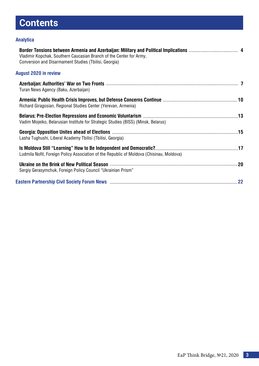### **Contents**

#### **Analytica**

| Vladimir Kopchak, Southern Caucasian Branch of the Center for Army,<br>Conversion and Disarmament Studies (Tbilisi, Georgia) |  |
|------------------------------------------------------------------------------------------------------------------------------|--|
| <b>August 2020 in review</b>                                                                                                 |  |
| Turan News Agency (Baku, Azerbaijan)                                                                                         |  |
| Richard Giragosian, Regional Studies Center (Yerevan, Armenia)                                                               |  |
| Vadim Mojeiko, Belarusian Institute for Strategic Studies (BISS) (Minsk, Belarus)                                            |  |
| Lasha Tughushi, Liberal Academy Tbilisi (Tbilisi, Georgia)                                                                   |  |
| Ludmila Nofit, Foreign Policy Association of the Republic of Moldova (Chisinau, Moldova)                                     |  |
| Sergiy Gerasymchuk, Foreign Policy Council "Ukrainian Prism"                                                                 |  |
| Eastern Partnership Civil Society Forum News material content content control and the 22                                     |  |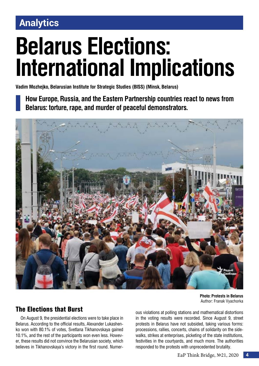### **Analytics**

## **Belarus Elections: International Implications**

**Vadim Mozhejko, Belarusian Institute for Strategic Studies (BISS) (Minsk, Belarus)**

**How Europe, Russia, and the Eastern Partnership countries react to news from Belarus: torture, rape, and murder of peaceful demonstrators.**



#### The Elections that Burst

On August 9, the presidential elections were to take place in Belarus. According to the official results, Alexander Lukashenko won with 80.1% of votes, Svetlana Tikhanovskaya gained 10.1%, and the rest of the participants won even less. However, these results did not convince the Belarusian society, which believes in Tikhanovskaya's victory in the first round. Numer-

**Photo: Protests in Belarus** Author: Franak Vyachorka

ous violations at polling stations and mathematical distortions in the voting results were recorded. Since August 9, street protests in Belarus have not subsided, taking various forms: processions, rallies, concerts, chains of solidarity on the sidewalks, strikes at enterprises, picketing of the state institutions, festivities in the courtyards, and much more. The authorities responded to the protests with unprecedented brutality.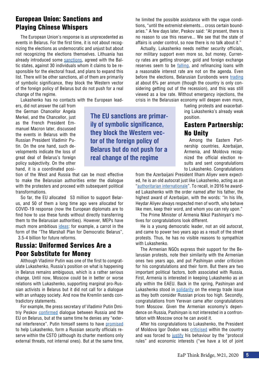#### European Union: Sanctions and Playing Chinese Whispers

The European Union's response is as unprecedented as events in Belarus. For the first time, it is not about recognizing the elections as undemocratic and unjust but about not recognizing the elections themselves. Lithuania has already introduced some [sanctions,](https://tass.ru/mezhdunarodnaya-panorama/9338099) agreed with the Baltic states, against 30 individuals whom it claims to be responsible for the electoral fraud, and plans to expand this list. There will be other sanctions, all of them are primarily of symbolic significance, they block the Western vector of the foreign policy of Belarus but do not push for a real change of the regime.

Lukashenko has no contacts with the European lead-

ers, did not answer the call from the German Chancellor Angela Merkel, and the Chancellor, just as the French President Emmanuel Macron later, discussed the events in Belarus with the Russian President Vladimir Putin. On the one hand, such developments indicate the loss of great deal of Belarus's foreign policy subjectivity. On the other hand, it is a coordinated posi-

tion of the West and Russia that can be most effective to make the Belarusian authorities enter the dialogue with the protesters and proceed with subsequent political transformations.

So far, the EU allocated €53 million to support Belarus, and 50 of them a long time ago were allocated for COVID-19 response (now the European diplomats are to find how to use these funds without directly transferring them to the Belarusian authorities). However, MEPs have much more ambitious [ideas:](https://nmnby.eu/news/discussions/7201.html) for example, a carrot in the form of the "The Marshall Plan for Democratic Belarus", €3.5-4 billion for future reforms.

#### Russia: Uniformed Services Are a Poor Substitute for Money

Although Vladimir Putin was one of the first to congratulate Lukashenko, Russia's position on what is happening in Belarus remains ambiguous, which is a rather serious change. Until now, Moscow could be in better or worse relations with Lukashenko, supporting marginal pro-Russian activists in Belarus but it did not call for a dialogue with an unhappy society. And now the Kremlin sends contradictory statements.

For example, the press secretary of Vladimir Putin Dmitriy Peskov [confirmed](https://telegraf.by/russia/rf-ne-budet-vmeshivatsya-v-dela-belarusi-peskov/) dialogue between Russia and the EU on Belarus, but at the same time he denies any "external interference". Putin himself seems to have [promised](https://tass.ru/politika/9330207) to help Lukashenko, form a Russian security officials reserve within the CSTO (although its charter mentions only external threats, not internal ones). But at the same time, he limited the possible assistance with the vague conditions, "until the extremist elements... cross certain boundaries." A few days later, Peskov said: "At present, there is no reason to use this reserve... We see that the state of affairs is under control, so now there is no talk about it."

Actually, Lukashenko needs neither security officials, nor military support even more so, but money. Currency rates are getting stronger, gold and foreign exchange reserves seem to be [falling,](https://telegraf.by/ehkonomika/chtoby-sderzhat-kursy-nacbank-mog-vybrosit-rekordnuju-summu-rezervov-na-birzhu/) and refinancing loans with a reasonable interest rate are not on the agenda. Even before the elections, Belarusian Eurobonds were [trading](https://naviny.by/article/20200709/1594272486-dorogie-evrobondy-skolko-minsk-platit-za-vozmozhnost-kreditovatsya-bez) at about 6% per annum (though the country is only considering getting out of the recession), and this was still viewed as a low rate. Without emergency injections, the crisis in the Belarusian economy will deepen even more,

> fueling protests and exacerbating Lukashenko's already weak position.

#### Eastern Partnership: No Unity

Among the Eastern Partnership countries, Azerbaijan, Armenia, and Moldova recognized the official election results and sent congratulations to Lukashenko. Congratulations

from the Azerbaijani President Ilham Aliyev were expected, he is an old autocrat just like Lukashenko, acting as an "[authoritarian internationale"](https://nmnby.eu/news/analytics/6909.html). To recall, in 2016 he awarded Lukashenko with the order named after his father, the highest award of Azerbaijan, with the words: "In his life, Heydar Aliyev always respected men of worth, who behave like men, keep their word, and whom you can rely upon."

The Prime Minister of Armenia Nikol Pashinyan's motives for congratulations look different.

He is a young democratic leader, not an old autocrat, and came to power two years ago as a result of the street protests. Thus, he has no visible reasons to sympathize with Lukashenko.

The Armenian NGOs express their support for the Belarusian protests, note their similarity with the Armenian ones two years ago, and put Pashinyan under criticism for his congratulations and their form. But there are two important political factors, both associated with Russia. First, Armenia is interested in keeping Lukashenko as an ally within the EAEU. Back in the spring, Pashinyan and Lukashenko stood in [solidarity](https://interfax.by/news/policy/raznoe/1273843/) on the energy trade issue as they both consider Russian prices too high. Secondly, congratulations from Yerevan came after congratulations from Moscow. Given the Armenian economy's dependence on Russia, Pashinyan is not interested in a confrontation with Moscow once he can avoid it.

After his congratulations to Lukashenko, the President of Moldova Igor Dodon was [criticised](https://newsmaker.md/rus/novosti/vot-nahrena-takoe-delat-g-n-dodon-kak-v-sotssetyah-obsudili-pozdravlenie-lukashenko-ot-prezidenta-moldovy/) within the country and was forced to [justify](https://newsmaker.md/rus/novosti/belorusy-na-nashem-fone-vyglyadyat-namnogo-luchshe-dodon-obyasnil-pochemu-pozdravil-lukashenko-posle-vyborov/) his behaviour by the "protocol rules" and economic interests ("we have a lot of joint

**The EU sanctions are primarily of symbolic significance, they block the Western vector of the foreign policy of Belarus but do not push for a real change of the regime**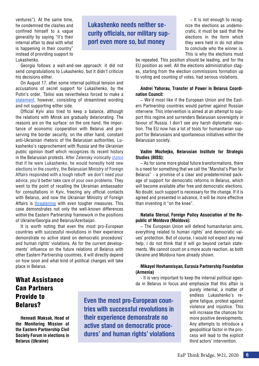ventures"). At the same time, he condemned the clashes and confined himself to a vague generality by saying "it's their internal affair to deal with what is happening in their country" instead of providing support to Lukashenko.

**Lukashenko needs neither security officials, nor military support even more so, but money**

Georgia follows a wait-and-see approach: it did not send congratulations to Lukashenko, but it didn't criticize his decisions either.

On August 17, after some internal political tension and accusations of secret support for Lukashenko, by the Putin's order, Tbilisi was nevertheless forced to make a [statement,](https://www.kommersant.ru/doc/4458221) however, consisting of streamlined wording and not supporting either side.

Official Kyiv also tried to keep a balance, although the relations with Minsk are gradually deteriorating. The reasons are on the surface: on the one hand, the importance of economic cooperation with Belarus and preserving the border security, on the other hand, constant anti-Ukrainian rhetoric of the Belarusian authorities, Lukashenko's rapprochement with Russia and the Ukrainian public opinion itself which recognizes its recent history in the Belarusian protests. After Zelensky ironically [stated](https://www.pravda.com.ua/rus/news/2020/08/23/7263946/) that if he were Lukashenko, he would honestly hold new elections in the country, the Belarusian Ministry of Foreign Affairs responded with a tough rebuff: we don't need your advice, you'd better take care of your own problems. They went to the point of recalling the Ukrainian ambassador for consultations in Kyiv, freezing any official contacts with Belarus, and now the Ukrainian Ministry of Foreign Affairs is [threatening](https://nashaniva.by/?c=ar&i=258414) with even tougher measures. This case demonstrates not only the well-known differences within the Eastern Partnership framework in the positions of Ukraine/Georgia and Belarus/Azerbaijan.

It is worth noting that even the most pro-European countries with successful revolutions in their experience demonstrate no active stand on democratic procedures' and human rights' violations. As for the current developments' influence on the future relations of Belarus with other Eastern Partnership countries, it will directly depend on how soon and what kind of political changes will take place in Belarus.

– It is not enough to recognize the elections as undemocratic, it must be said that the elections in the form which they were held in do not allow to conclude who the winner is. This is why the elections must

be repeated. This position should be leading, and for the EU position as well. All the elections administration stages, starting from the election commissions formation up to voting and counting of votes, had serious violations.

#### **Andrei Yahorau, Transfer of Power in Belarus Coordination Council:**

– We'd most like if the European Union and the Eastern Partnership countries would partner against Russian intervene. This intervention is aimed at an attempt to support this regime and surrenders Belarusian sovereignty in favour of Russia. I don't see any harsh diplomatic reaction. The EU now has a lot of tools for humanitarian support for Belarusians and spontaneous initiatives within the Belarusian society.

#### **Vadim Mozhejko, Belarusian Institute for Strategic Studies (BISS):**

– As for some more global future transformations, there is a need for something that we call the "Marshal's Plan for Belarus" - a promise of a clear and predetermined package of support for democratic reforms in Belarus, which will become available after free and democratic elections. No doubt, such support is necessary for the change. If it is agreed and presented in advance, it will be more effective than inventing it "on the knee".

#### **Natalia Stercul, Foreign Policy Association of the Republic of Moldova (Moldova):**

– The European Union will defend humanitarian aims, everything related to human rights' and democratic values' protection. But of course, I would not expect any real help, I do not think that it will go beyond certain statements. We cannot count on a more acute reaction, as both Ukraine and Moldova have already shown.

#### **Mikayel Hovhannisyan, Eurasia Partnership Foundation (Armenia)**

- It is very important to keep the internal political agenda in Belarus in focus and emphasize that this affair is

#### What Assistance Can Partners Provide to Belarus?

**Hennadi Maksak, Head of the Monitoring Mission of the Eastern Partnership Civil Society Forum in elections in Belarus (Ukraine)**

**Even the most pro-European countries with successful revolutions in their experience demonstrate no active stand on democratic procedures' and human rights' violations**

endless Lukashenko's regime fatigue, protest against violence and injustice. This will increase the chances for more positive developments. Any attempts to introduce a geopolitical factor in the process will lead to the explicit third actors' intervention.

purely internal, a matter of

EaP Think Bridge, №21, 2020 **6**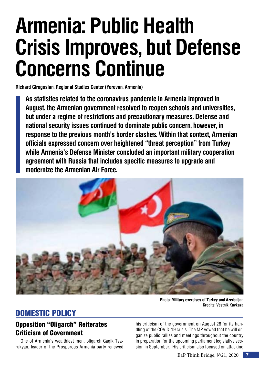## **Armenia: Public Health Crisis Improves, but Defense Concerns Continue**

**Richard Giragosian, Regional Studies Center (Yerevan, Armenia)**

**As statistics related to the coronavirus pandemic in Armenia improved in August, the Armenian government resolved to reopen schools and universities, but under a regime of restrictions and precautionary measures. Defense and national security issues continued to dominate public concern, however, in response to the previous month's border clashes. Within that context, Armenian officials expressed concern over heightened "threat perception" from Turkey while Armenia's Defense Minister concluded an important military cooperation agreement with Russia that includes specific measures to upgrade and modernize the Armenian Air Force.** 



#### **Photo: Military exercises of Turkey and Azerbaijan Credits: Vestnik Kavkaza**

#### DOMESTIC POLICY

#### Opposition "Oligarch" Reiterates Criticism of Government

One of Armenia's wealthiest men, oligarch Gagik Tsarukyan, leader of the Prosperous Armenia party renewed his criticism of the government on August 28 for its handling of the COVID-19 crisis. The MP vowed that he will organize public rallies and meetings throughout the country in preparation for the upcoming parliament legislative session in September. His criticism also focused on attacking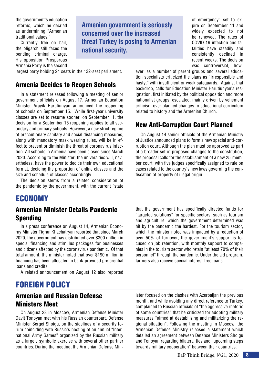the government's education reforms, which he decried as undermining "Armenian traditional values."

Currently free on bail, the oligarch still faces the pending criminal charge. His opposition Prosperous Armenia Party is the second

largest party holding 24 seats in the 132-seat parliament.

#### Armenia Decides to Reopen Schools

In a statement released following a meeting of senior government officials on August 17, Armenian Education Minister Arayik Harutiunyan announced the reopening of schools on September 15. While first-year university classes are set to resume sooner, on September 1, the decision for a September 15 reopening applies to all secondary and primary schools. However, a new strict regime of precautionary sanitary and social distancing measures, along with mandatory mask wearing rules, will be in effect to prevent or diminish the threat of coronavirus infection. All schools in Armenia have been closed since March 2020. According to the Minister, the universities will, nevertheless, have the power to decide their own educational format, deciding the proportion of online classes and the size and schedule of classes accordingly.

The decision stems from a related consideration of the pandemic by the government, with the current "state

#### ECONOMY

#### Armenian Minister Details Pandemic Spending

In a press conference on August 14, Armenian Economy Minister Tigran Khachatryan reported that since March 2020, the government has distributed over \$300 million in special financing and stimulus packages for businesses and citizens affected by the coronavirus pandemic. Of that total amount, the minister noted that over \$190 million in financing has been allocated in bank-provided preferential loans and credits.

A related announcement on August 12 also reported

#### FOREIGN POLICY

#### Armenian and Russian Defense Ministers Meet

On August 23 in Moscow, Armenian Defense Minister Davit Tonoyan met with his Russian counterpart, Defense Minister Sergei Shoigu, on the sidelines of a security forum coinciding with Russia's hosting of an annual "International Army Games" organized by the Russian military as a largely symbolic exercise with several other partner countries. During the meeting, the Armenian Defense Min-

**Armenian government is seriously concerned over the increased threat Turkey is posing to Armenian national security.**

of emergency" set to expire on September 11 and widely expected to not be renewed. The rates of COVID-19 infection and fatalities have steadily and consistently declined in recent weeks. The decision was controversial, how-

ever, as a number of parent groups and several education specialists criticized the plans as "irresponsible and hasty," with insufficient or weak safeguards. Against that backdrop, calls for Education Minister Harutiunyan's resignation, first initiated by the political opposition and more nationalist groups, escalated, mainly driven by vehement criticism over planned changes to educational curriculum related to history and the Armenian Church.

#### New Anti-Corruption Court Planned

On August 14 senior officials of the Armenian Ministry of Justice announced plans to form a new special anti-corruption court. Although the plan must be approved as part of a broader set of proposed changes to the constitution, the proposal calls for the establishment of a new 25-member court, with five judges specifically assigned to rule on cases related to the country's new laws governing the confiscation of property of illegal origin.

that the government has specifically directed funds for "targeted solutions" for specific sectors, such as tourism and agriculture, which the government determined was hit by the pandemic the hardest. For the tourism sector, which the minster noted was impacted by a reduction of over 50% of turnover, the government's support is focused on job retention, with monthly support to companies in the tourism sector who retain "at least 70% of their personnel" through the pandemic. Under the aid program, farmers also receive special interest-free loans.

ister focused on the clashes with Azerbaijan the previous month, and while avoiding any direct reference to Turkey, complained to Russian officials of "the aggressive rhetoric of some countries" that he criticized for adopting military measures "aimed at destabilizing and militarizing the regional situation". Following the meeting in Moscow, the Armenian Defense Ministry released a statement which detailed an agreement between Defense Ministers Shoigu and Tonoyan regarding bilateral ties and "upcoming steps towards military cooperation" between their countries.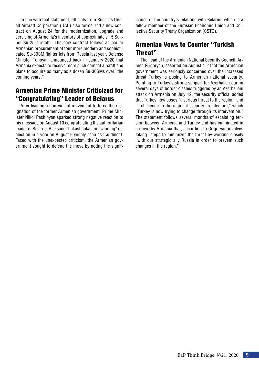In line with that statement, officials from Russia's United Aircraft Corporation (UAC) also formalized a new contract on August 24 for the modernization, upgrade and servicing of Armenia's inventory of approximately 15 Sukhoi Su-25 aircraft. The new contract follows an earlier Armenian procurement of four more modern and sophisticated Su-30SM fighter jets from Russia last year. Defense Minister Tonoyan announced back in January 2020 that Armenia expects to receive more such combat aircraft and plans to acquire as many as a dozen Su-30SMs over "the coming years."

#### Armenian Prime Minister Criticized for "Congratulating" Leader of Belarus

After leading a non-violent movement to force the resignation of the former Armenian government, Prime Minister Nikol Pashinyan sparked strong negative reaction to his message on August 10 congratulating the authoritarian leader of Belarus, Aleksandr Lukashenka, for "winning" reelection in a vote on August 9 widely seen as fraudulent. Faced with the unexpected criticism, the Armenian government sought to defend the move by noting the significance of the country's relations with Belarus, which is a fellow member of the Eurasian Economic Union and Collective Security Treaty Organization (CSTO).

#### Armenian Vows to Counter "Turkish Threat"

The head of the Armenian National Security Council, Armen Grigoryan, asserted on August 1-2 that the Armenian government was seriously concerned over the increased threat Turkey is posing to Armenian national security. Pointing to Turkey's strong support for Azerbaijan during several days of border clashes triggered by an Azerbaijani attack on Armenia on July 12, the security official added that Turkey now poses "a serious threat to the region" and "a challenge to the regional security architecture," which "Turkey is now trying to change through its intervention." The statement follows several months of escalating tension between Armenia and Turkey and has culminated in a move by Armenia that, according to Grigoryan involves taking "steps to minimize" the threat by working closely "with our strategic ally Russia in order to prevent such changes in the region."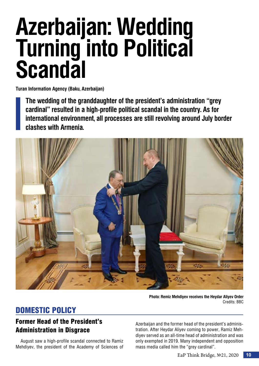## **Azerbaijan: Wedding Turning into Political Scandal**

**Turan Information Agency (Baku, Azerbaijan)**

**The wedding of the granddaughter of the president's administration "grey cardinal" resulted in a high-profile political scandal in the country. As for international environment, all processes are still revolving around July border clashes with Armenia.** 



**Photo: Remiz Mehdiyev receives the Heydar Aliyev Order** Credits: BBC

#### DOMESTIC POLICY

#### Former Head of the President's Administration in Disgrace

August saw a high-profile scandal connected to Ramiz Mehdiyev, the president of the Academy of Sciences of Azerbaijan and the former head of the president's administration. After Heydar Aliyev coming to power, Ramiz Mehdiyev served as an all-time head of administration and was only exempted in 2019. Many independent and opposition mass media called him the "grey cardinal".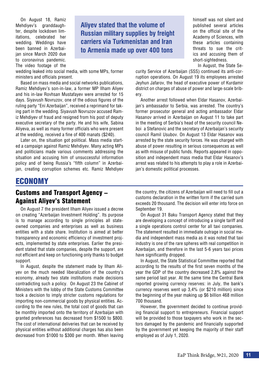On August 18, Ramiz Mehdiyev's granddaughter, despite lockdown limitations, celebrated her wedding. Weddings have been banned in Azerbaijan since March 2020 due to coronavirus pandemic. The video footage of the

**Aliyev stated that the volume of Russian military supplies by freight carriers via Turkmenistan and Iran to Armenia made up over 400 tons**

himself was not silent and published several articles on the official site of the Academy of Sciences, with these articles containing threats to sue the critics and accusing them of short-sightedness.

In August, the State Se-

wedding leaked into social media, with some MPs, former ministers and officials present.

Based on mass media and social networks publications, Ramiz Mehdiyev's son-in-law, a former MP Ilham Aliyev and his in-law Rovhsan Mustafayev were arrested for 15 days. Siyavush Novruzov, one of the odious figures of the ruling party "Eni Azerbaijan", received a reprimand for taking part in the wedding. Siyavush Novruzov accused Ramiz Mehdiyev of fraud and resigned from his post of deputy executive secretary of the party. He and his wife, Sabina Aliyeva, as well as many former officials who were present at the wedding, received a fine of 400 manats (\$240).

Later on, the situation got political. Mass media started a campaign against Ramiz Mehdiyev. Many acting MPs and politicians made various comments addressing the situation and accusing him of unsuccessful information policy and of being Russia's "fifth column" in Azerbaijan, creating corruption schemes etc. Ramiz Mehdiyev curity Service of Azerbaijan (SSS) continued its anti-corruption operations. On August 19 its employees arrested Jeyhun Jafarov, the head of executive power of Kurdamir district on charges of abuse of power and large-scale bribery.

Another arrest followed when Eldar Hasanov, Azerbaijan's ambassador to Serbia, was arrested. The country's former prosecutor general and acting ambassador Eldar Hasanov arrived in Azerbaijan on August 11 to take part in the meeting of Serbia's head of the security council Neboi a Stefanovic and the secretary of Azerbaijan's security council Ramil Usubov. On August 13 Eldar Hasanov was arrested by the state security forces. He was charged with abuse of power resulting in serious consequences as well as with misuse of public funds. Reports appeared in opposition and independent mass media that Eldar Hasanov's arrest was related to his attempts to play a role in Azerbaijan's domestic political processes.

#### ECONOMY

#### Customs and Transport Agency – Against Aliyev's Statement

On August 7 the president Ilham Aliyev issued a decree on creating "Azerbaijan Investment Holding". Its purpose is to manage according to single principles all stateowned companies and enterprises as well as business entities with a state share. Institution is aimed at better transparency and economic efficiency of investment projects, implemented by state enterprises. Earlier the president stated that state companies, despite the support, are not efficient and keep on functioning only thanks to budget support.

In August, despite the statement made by Ilham Aliyev on the much needed liberalization of the country's economy, already two state institutions made decisions contradicting such a policy. On August 23 the Cabinet of Ministers with the lobby of the State Customs Committee took a decision to imply stricter customs regulations for importing non-commercial goods by physical entities. According to the new rules, the total cost of goods that can be monthly imported onto the territory of Azerbaijan with granted preferences has decreased from \$1500 to \$800. The cost of international deliveries that can be received by physical entities without additional charges has also been decreased from \$1000 to \$300 per month. When leaving

the country, the citizens of Azerbaijan will need to fill out a customs declaration in the written form if the carried sum exceeds 20 thousand. The decision will enter into force on September 19.

On August 31 Baku Transport Agency stated that they are developing a concept of introducing a single tariff and a single operations control center for all taxi companies. The statement resulted in immediate outrage in social media and independent mass media as it was noted that taxi industry is one of the rare spheres with real competition in Azerbaijan, and therefore in the last 5-6 years taxi prices have significantly dropped.

In August, the State Statistical Committee reported that according to the results of the first seven months of the year the GDP of the country decreased 2,8% against the same period last year. At the same time the Central Bank reported growing currency reserves: in July, the bank's currency reserves went up 3,4% (or \$210 million) since the beginning of the year making up \$6 billion 468 million 700 thousand.

However, the government decided to continue providing financial support to entrepreneurs. Financial support will be provided to those taxpayers who work in the sectors damaged by the pandemic and financially supported by the government yet keeping the majority of their staff employed as of July 1, 2020.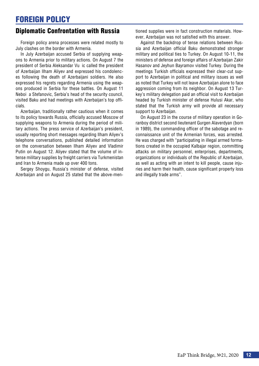### FOREIGN POLICY

#### Diplomatic Confrontation with Russia

Foreign policy arena processes were related mostly to July clashes on the border with Armenia.

In July Azerbaijan accused Serbia of supplying weapons to Armenia prior to military actions. On August 7 the president of Serbia Aleksandar Vu $\epsilon$ c called the president of Azerbaijan Ilham Aliyev and expressed his condolences following the death of Azerbaijani soldiers. He also expressed his regrets regarding Armenia using the weapons produced in Serbia for these battles. On August 11 Neboi **€** Stefanovic, Serbia's head of the security council, visited Baku and had meetings with Azerbaijan's top officials.

Azerbaijan, traditionally rather cautious when it comes to its policy towards Russia, officially accused Moscow of supplying weapons to Armenia during the period of military actions. The press service of Azerbaijan's president, usually reporting short messages regarding Ilham Aliyev's telephone conversations, published detailed information on the conversation between Ilham Aliyev and Vladimir Putin on August 12. Aliyev stated that the volume of intense military supplies by freight carriers via Turkmenistan and Iran to Armenia made up over 400 tons.

Sergey Shoygu, Russia's minister of defense, visited Azerbaijan and on August 25 stated that the above-mentioned supplies were in fact construction materials. However, Azerbaijan was not satisfied with this answer.

Against the backdrop of tense relations between Russia and Azerbaijan official Baku demonstrated stronger military and political ties to Turkey. On August 10-11, the ministers of defense and foreign affairs of Azerbaijan Zakir Hasanov and Jeyhun Bayramov visited Turkey. During the meetings Turkish officials expressed their clear-cut support to Azerbaijan in political and military issues as well as noted that Turkey will not leave Azerbaijan alone to face aggression coming from its neighbor. On August 13 Turkey's military delegation paid an official visit to Azerbaijan headed by Turkish minister of defense Hulusi Akar, who stated that the Turkish army will provide all necessary support to Azerbaijan.

On August 23 in the course of military operation in Goranboy district second lieutenant Gurgen Alaverdyan (born in 1989), the commanding officer of the sabotage and reconnaissance unit of the Armenian forces, was arrested. He was charged with "participating in illegal armed formations created in the occupied Kalbajar region, committing attacks on military personnel, enterprises, departments, organizations or individuals of the Republic of Azerbaijan, as well as acting with an intent to kill people, cause injuries and harm their health, cause significant property loss and illegally trade arms".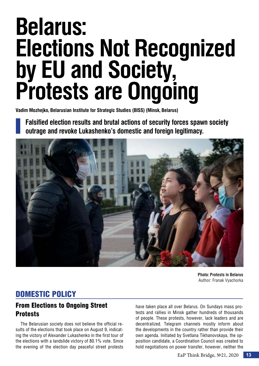## **Belarus: Elections Not Recognized by EU and Society, Protests are Ongoing**

**Vadim Mozhejko, Belarusian Institute for Strategic Studies (BISS) (Minsk, Belarus)** 

**Falsified election results and brutal actions of security forces spawn society outrage and revoke Lukashenko's domestic and foreign legitimacy.** 



**Photo: Protests in Belarus** Author: Franak Vyachorka

#### DOMESTIC POLICY

#### From Elections to Ongoing Street **Protests**

The Belarusian society does not believe the official results of the elections that took place on August 9, indicating the victory of Alexander Lukashenko in the first tour of the elections with a landslide victory of 80.1% vote. Since the evening of the election day peaceful street protests have taken place all over Belarus. On Sundays mass protests and rallies in Minsk gather hundreds of thousands of people. These protests, however, lack leaders and are decentralized. Telegram channels mostly inform about the developments in the country rather than provide their own agenda. Initiated by Svetlana Tikhanovskaya, the opposition candidate, a Coordination Council was created to hold negotiations on power transfer, however, neither the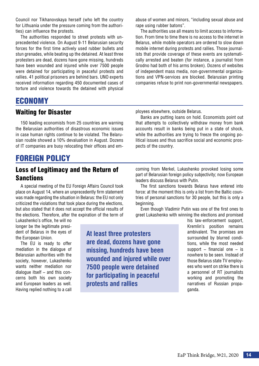Council nor Tikhanovskaya herself (who left the country for Lithuania under the pressure coming from the authorities) can influence the protests.

The authorities responded to street protests with unprecedented violence. On August 9-11 Belarusian security forces for the first time actively used rubber bullets and stun grenades, while beating up the detained. At least three protesters are dead, dozens have gone missing, hundreds have been wounded and injured while over 7500 people were detained for participating in peaceful protests and rallies. 41 political prisoners are behind bars. UNO experts received information regarding 450 documented cases of torture and violence towards the detained with physical

#### ECONOMY

#### Waiting for Disaster

150 leading economists from 25 countries are warning the Belarusian authorities of disastrous economic issues in case human rights continue to be violated. The Belarusian rouble showed a 10% devaluation in August. Dozens of IT companies are busy relocating their offices and em-

#### FOREIGN POLICY

#### Loss of Legitimacy and the Return of Sanctions

A special meeting of the EU Foreign Affairs Council took place on August 14, where an unprecedently firm statement was made regarding the situation in Belarus: the EU not only criticized the violations that took place during the elections, but also stated that it does not accept the official results of the elections. Therefore, after the expiration of the term of

Lukashenko's office, he will no longer be the legitimate president of Belarus in the eyes of the European Union.

The EU is ready to offer mediation in the dialogue of Belarusian authorities with the society, however, Lukashenko wants neither mediation nor dialogue itself – and this concerns both his own society and European leaders as well. Having replied nothing to a call **At least three protesters are dead, dozens have gone missing, hundreds have been wounded and injured while over 7500 people were detained for participating in peaceful protests and rallies**

abuse of women and minors, "including sexual abuse and rape using rubber batons".

The authorities use all means to limit access to information. From time to time there is no access to the internet in Belarus, while mobile operators are ordered to slow down mobile internet during protests and rallies. Those journalists that provide coverage of these events are systematically arrested and beaten (for instance, a journalist from Grodno had both of his arms broken). Dozens of websites of independent mass media, non-governmental organizations and VPN-services are blocked. Belarusian printing companies refuse to print non-governmental newspapers.

ployees elsewhere, outside Belarus.

Banks are putting loans on hold. Economists point out that attempts to collectively withdraw money from bank accounts result in banks being put in a state of shock, while the authorities are trying to freeze the ongoing political issues and thus sacrifice social and economic prospects of the country.

coming from Merkel, Lukashenko provoked losing some part of Belarusian foreign policy subjectivity; now European leaders discuss Belarus with Putin.

The first sanctions towards Belarus have entered into force: at the moment this is only a list from the Baltic countries of personal sanctions for 30 people, but this is only a beginning.

Even though Vladimir Putin was one of the first ones to greet Lukashenko with winning the elections and promised

> his law-enforcement support, Kremlin's position remains ambivalent. The promises are surrounded by blurred conditions, while the most needed support  $-$  financial one  $-$  is nowhere to be seen. Instead of those Belarus state TV employees who went on strike there is a personnel of RT journalists working and promoting the narratives of Russian propaganda.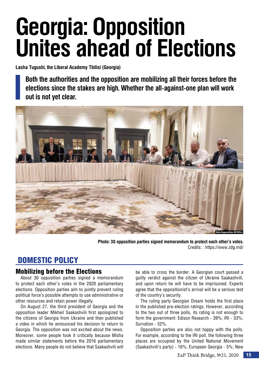# **Georgia: Opposition Unites ahead of Elections**

**Lasha Tugushi, the Liberal Academy Tbilisi (Georgia)**

**Both the authorities and the opposition are mobilizing all their forces before the elections since the stakes are high. Whether the all-against-one plan will work out is not yet clear.**



**Photo: 30 opposition parties signed memorandum to protect each other's votes.** Credits: : https://www.zdg.md/

#### DOMESTIC POLICY

#### Mobilizing before the Elections

About 30 opposition parties signed a memorandum to protect each other's votes in the 2020 parliamentary elections. Opposition parties aim to jointly prevent ruling political force's possible attempts to use administrative or other resources and retain power illegally.

On August 27, the third president of Georgia and the opposition leader Mikheil Saakashvili first apologized to the citizens of Georgia from Ukraine and then published a video in which he announced his decision to return to Georgia. The opposition was not excited about the news. Moreover, some people took it critically because Misha made similar statements before the 2016 parliamentary elections. Many people do not believe that Saakashvili will be able to cross the border. A Georgian court passed a guilty verdict against the citizen of Ukraine Saakashvili, and upon return he will have to be imprisoned. Experts agree that the oppositionist's arrival will be a serious test of the country's security.

The ruling party Georgian Dream holds the first place in the published pre-election ratings. However, according to the two out of three polls, its rating is not enough to form the government: Edison Research - 39%; IRI - 33%; Survation - 52%.

Opposition parties are also not happy with the polls. For example, according to the IRI poll, the following three places are occupied by the United National Movement (Saakashvili's party) - 16%; European Georgia - 5%; New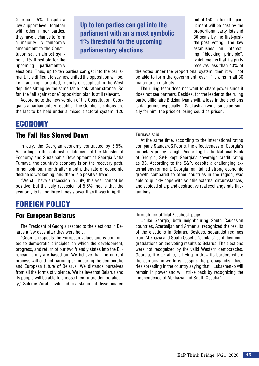Georgia - 5%. Despite a low support level, together with other minor parties, they have a chance to form a majority. A temporary amendment to the Constitution set an almost symbolic 1% threshold for the upcoming parliamentary

**Up to ten parties can get into the parliament with an almost symbolic 1% threshold for the upcoming parliamentary elections**

out of 150 seats in the parliament will be cast by the proportional party lists and 30 seats by the first-pastthe-post voting. The law establishes an interesting "blocking principle", which means that if a party receives less than 40% of

elections. Thus, up to ten parties can get into the parliament. It is difficult to say how united the opposition will be. Left- and right-oriented, friendly or sceptical to the West deputies sitting by the same table look rather strange. So far, the "all against one" opposition plan is still relevant.

According to the new version of the Constitution, Georgia is a parliamentary republic. The October elections are the last to be held under a mixed electoral system. 120

#### ECONOMY

#### The Fall Has Slowed Down

In July, the Georgian economy contracted by 5.5%. According to the optimistic statement of the Minister of Economy and Sustainable Development of Georgia Natia Turnava, the country's economy is on the recovery path. In her opinion, month after month, the rate of economic decline is weakening, and there is a positive trend.

"We still have a recession in July, this year cannot be positive, but the July recession of 5.5% means that the economy is falling three times slower than it was in April,"

#### FOREIGN POLICY

#### For European Belarus

The President of Georgia reacted to the elections in Belarus a few days after they were held.

"Georgia respects the European values and is committed to democratic principles on which the development, progress, and return of our two friendly states into the European family are based on. We believe that the current process will end not harming or hindering the democratic and European future of Belarus. We distance ourselves from all the forms of violence. We believe that Belarus and its people will be able to choose their future democratically," Salome Zurabishvili said in a statement disseminated be able to form the government, even if it wins in all 30 majoritarian districts.

the votes under the proportional system, then it will not

The ruling team does not want to share power since it does not see partners. Besides, for the leader of the ruling party, billionaire Bidzina Ivanishvili, a loss in the elections is dangerous, especially if Saakashvili wins, since personally for him, the price of losing could be prison.

Turnava said.

At the same time, according to the international rating company Standard&Poor's, the effectiveness of Georgia's monetary policy is high. According to the National Bank of Georgia, S&P kept Georgia's sovereign credit rating as BB. According to the S&P, despite a challenging external environment, Georgia maintained strong economic growth compared to other countries in the region, was able to quickly cope with volatile external circumstances, and avoided sharp and destructive real exchange rate fluctuations.

through her official Facebook page.

Unlike Georgia, both neighbouring South Caucasian countries, Azerbaijan and Armenia, recognized the results of the elections in Belarus. Besides, separatist regimes from Abkhazia and South Ossetia "capitals" sent their congratulations on the voting results to Belarus. The elections were not recognized by the valid Western democracies. Georgia, like Ukraine, is trying to draw its borders where the democratic world is, despite the propagandist theories spreading in the country saying that "Lukashenko will remain in power and will strike back by recognizing the independence of Abkhazia and South Ossetia".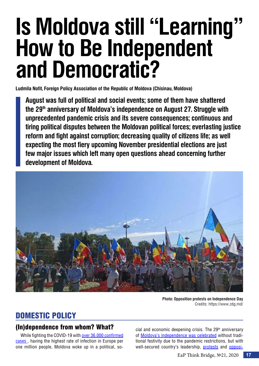## **Is Moldova still "Learning" How to Be Independent and Democratic?**

**Ludmila Nofit, Foreign Policy Association of the Republic of Moldova (Chisinau, Moldova)**

**August was full of political and social events; some of them have shattered the 29th anniversary of Moldova's independence on August 27. Struggle with unprecedented pandemic crisis and its severe consequences; continuous and tiring political disputes between the Moldovan political forces; everlasting justice reform and fight against corruption; decreasing quality of citizens life; as well expecting the most fiery upcoming November presidential elections are just few major issues which left many open questions ahead concerning further development of Moldova.** 



**Photo: Opposition protests on Independence Day** Credits: https://www.zdg.md/

### DOMESTIC POLICY

#### (In)dependence from whom? What?

While fighting the COVID-19 with [over 36.000 confirmed](http://gismoldova.maps.arcgis.com/apps/opsdashboard/index.html%23/d274da857ed345efa66e1fbc959b021b) [cases ,](http://gismoldova.maps.arcgis.com/apps/opsdashboard/index.html%23/d274da857ed345efa66e1fbc959b021b) having the highest rate of infection in Europe per one million people, Moldova woke up in a political, social and economic deepening crisis. The  $29<sup>th</sup>$  anniversary of [Moldova's independence was celebrated](https://moldova.europalibera.org/a/de-ani-de-independen%2525C8%25259B%2525C4%252583-flori-monumente-proteste-r%2525C4%252583zle%2525C8%25259Be-%2525C8%252599i-m%2525C4%252583%2525C8%252599ti/30805549.html) without traditional festivity due to the pandemic restrictions, but with well-secured country's leadership, [protests](https://www.youtube.com/watch?v=2N4dito4uSs&feature=emb_title) and [opposi-](https://www.zdg.md/stiri/stiri-sociale/live-marsul-platformei-da-de-ziua-independentei/)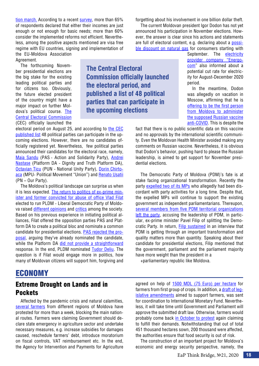[tion march](https://www.zdg.md/stiri/stiri-sociale/live-marsul-platformei-da-de-ziua-independentei/). According to a recent [survey](https://moldova.europalibera.org/a/30802270.html), more than 65% of respondents declared that either their incomes are just enough or not enough for basic needs; more than 60% consider the implemented reforms not efficient. Nevertheless, among the positive aspects mentioned are visa free regime with EU countries, signing and implementation of the EU-Moldova Association

**The Central Electoral** 

**the electoral period, and** 

**the upcoming elections**

**Commission officially launched** 

**published a list of 48 political parties that can participate in** 

Agreement.

The forthcoming November presidential elections are the big stake for the existing leading political parties and for citizens too. Obviously, the future elected president of the country might have a major impact on further Moldova's political course. [The](https://a.cec.md/ro/astazi-25-august-2020-incepe-perioada-electorala-pentru-scrutinul-2781_97491.html)  [Central Electoral Commission](https://a.cec.md/ro/astazi-25-august-2020-incepe-perioada-electorala-pentru-scrutinul-2781_97491.html) (CEC) officially launched the

electoral period on August 25, and according to [the CEC](https://a.cec.md/storage/ckfinder/files/Alegeri%252520Preziden%2525C8%25259Biale_1%252520noiembrie%2525202020/Lista%252520partidelor%252520%2525C5%25259Fi%252520altor%252520organiza%2525C5%2525A3ii%252520social-politice%252520%2525C8%252599i%252520statutele%252520acestora%252520care%252520au%252520dreptul%252520de%252520a%252520participa%252520la%252520alegerile%252520preziden%2525C8%25259Biale%252520din%25252001_11_2020.pdf) [published list](https://a.cec.md/storage/ckfinder/files/Alegeri%252520Preziden%2525C8%25259Biale_1%252520noiembrie%2525202020/Lista%252520partidelor%252520%2525C5%25259Fi%252520altor%252520organiza%2525C5%2525A3ii%252520social-politice%252520%2525C8%252599i%252520statutele%252520acestora%252520care%252520au%252520dreptul%252520de%252520a%252520participa%252520la%252520alegerile%252520preziden%2525C8%25259Biale%252520din%25252001_11_2020.pdf) 48 political parties can participate in the upcoming elections. However, there are no candidates officially registered yet. Nevertheless, few political parties announced their candidates for the electoral race, namely, [Maia Sandu](https://www.zdg.md/importante/ultima-ora-maia-sandu-este-candidata-pas-la-alegerile-prezidentiale-din-noiembrie/) (PAS - Action and Solidarity Party), [Andrei](https://tv8.md/2020/06/04/andrei-nastase-este-candidatul-ppda-la-alegerile-prezidentiale-i-am-repetat-de-mai-multe-ori-presedintelui-dodon-ca-de-aceasta-data-voi-fi-pe-lista-si-nu-voi-lipsi-de-la-intrunirea-in/) [Nastase](https://tv8.md/2020/06/04/andrei-nastase-este-candidatul-ppda-la-alegerile-prezidentiale-i-am-repetat-de-mai-multe-ori-presedintelui-dodon-ca-de-aceasta-data-voi-fi-pe-lista-si-nu-voi-lipsi-de-la-intrunirea-in/) (Platform DA - Dignity and Truth Platform DA), [Octavian Ticu](https://newsmaker.md/ro/octavian-ticu-a-fost-desemnat-candidatul-pun-la-alegerile-prezidentiale/) (PUN - National Unity Party), [Dorin Chirto](https://unimedia.info/ro/news/2d86896b41ae79c9/doc-dorin-chirtoaca-candidatul-desemnat-de-catre-miscarea-politica-unirea-la-alegerile-prezidentiale-din-toamna.html)[aca](https://unimedia.info/ro/news/2d86896b41ae79c9/doc-dorin-chirtoaca-candidatul-desemnat-de-catre-miscarea-politica-unirea-la-alegerile-prezidentiale-din-toamna.html) (MPU- Political Movement "Union") and [Renato Usatii](https://radiochisinau.md/renato-usatii-sia-anuntat-candidatura-pentru-fotoliul-de-presedinte-al-rmoldova---115811.html) (PN – Our Party).

The Moldova's political landscape can surprise us when it is less expected. [The return to politics of ex-prime min](https://www.ipn.md/ro/vlad-filat-a-revenit-in-fruntea-pldm-7965_1075579.html?fbclid=IwAR0oJHBM99BRx4RG9ag1ictZUtrvE7TyGWD95ZEFKvllQniLcTsl4imvGQk)[ister and former convicted for abuse of office Vlad Filat](https://www.ipn.md/ro/vlad-filat-a-revenit-in-fruntea-pldm-7965_1075579.html?fbclid=IwAR0oJHBM99BRx4RG9ag1ictZUtrvE7TyGWD95ZEFKvllQniLcTsl4imvGQk) elected to run PLDM - Liberal Democratic Party of Moldova raised [different opinions](https://newsmaker.md/ro/al-vostru-vlad-filat-de-ce-fostul-premier-condamnat-a-revenit-in-politica/) and [critics](https://moldova.europalibera.org/a/%2525C3%2525AEntoarcerea-lui-filat/30787889.html) among the society. Based on his previous experience in initiating political alliances, Filat offered the opposition parties PAS and Platform DA to create a political bloc and nominate a common candidate for presidential elections. [PAS rejected the pro](https://www.ipn.md/ro/reactia-pas-la-invitatia-lansata-de-pldm-7965_1075647.html)[posal,](https://www.ipn.md/ro/reactia-pas-la-invitatia-lansata-de-pldm-7965_1075647.html) arguing they've already nominated the candidate, while the Platform DA [did not provide a straightforward](https://www.ipn.md/ro/platforma-da-a-luat-act-de-propunerea-pldm-si-de-reactia-pas-7965_1075653.html) response. In the end, PLDM nominated [Tudor Deliu](https://www.ipn.md/ro/pldm-si-a-desemnat-candidatul-la-alegerile-prezidentiale-7965_1075824.html). The question is if Filat would engage more in politics, how many of Moldovan citizens will support him, forgiving and

#### ECONOMY

#### Extreme Drought on Lands and in **Pockets**

Affected by the pandemic crisis and natural calamities, [several farmers](https://www.ipn.md/ro/agricultorii-au-blocat-traseele-la-causeni-si-la-leova-7967_1075483.html?fbclid=IwAR2LhqaJbcgiIUPRB7A1U6zSjMfy8jdOt7B2Mu-5ImiUKBgrOGRNLu6-6Zo) from different regions of Moldova have protested for more than a week, blocking the main national routes. Farmers were claiming Government should declare state emergency in agriculture sector and undertake necessary measures, e.g. increase subsidies for damages caused, reschedule farmers' debt, introduce moratorium on fiscal controls, VAT reimbursement etc. In the end, the Agency for Intervention and Payments for Agriculture forgetting about his involvement in one billion dollar theft.

The current Moldovan president Igor Dodon has not yet announced his participation in November elections. However, the answer is clear since his actions and statements are full of electoral content, e.g. declaring about a [possi](https://www.moldpres.md/news/2020/08/25/20006833)[ble discount on natural gas](https://www.moldpres.md/news/2020/08/25/20006833) for consumers starting with

> September. The [electricity](https://agora.md/stiri/76252/In-ajun-de-alegeri-prezidentiale-sar-putea-reduce-costul-energiei-electrice) [provider company "Energo](https://agora.md/stiri/76252/In-ajun-de-alegeri-prezidentiale-sar-putea-reduce-costul-energiei-electrice)[com](https://agora.md/stiri/76252/In-ajun-de-alegeri-prezidentiale-sar-putea-reduce-costul-energiei-electrice)" also informed about a potential cut rate for electricity for August-December 2020 period.

> In the meantime, Dodon was allegedly on vacation in Moscow, affirming that he is [offering to be the first person](https://www.zdg.md/importante/igor-dodon-se-ofera-sa-fie-prima-persoana-din-r-moldova-care-va-administra-presupusul-vaccin-anti-covid-19-elaborat-de-rusi-sunt-gata-sa-risc-cu-sanatatea/?fbclid=IwAR2gjWqvfEglXPkaTAnfybkKci9yxqxDod1DLmAM0eyBJoqwCkOy8ixsLgs) [from Moldova to administer](https://www.zdg.md/importante/igor-dodon-se-ofera-sa-fie-prima-persoana-din-r-moldova-care-va-administra-presupusul-vaccin-anti-covid-19-elaborat-de-rusi-sunt-gata-sa-risc-cu-sanatatea/?fbclid=IwAR2gjWqvfEglXPkaTAnfybkKci9yxqxDod1DLmAM0eyBJoqwCkOy8ixsLgs) [the supposed Russian vaccine](https://www.zdg.md/importante/igor-dodon-se-ofera-sa-fie-prima-persoana-din-r-moldova-care-va-administra-presupusul-vaccin-anti-covid-19-elaborat-de-rusi-sunt-gata-sa-risc-cu-sanatatea/?fbclid=IwAR2gjWqvfEglXPkaTAnfybkKci9yxqxDod1DLmAM0eyBJoqwCkOy8ixsLgs) [anti-COVID.](https://www.zdg.md/importante/igor-dodon-se-ofera-sa-fie-prima-persoana-din-r-moldova-care-va-administra-presupusul-vaccin-anti-covid-19-elaborat-de-rusi-sunt-gata-sa-risc-cu-sanatatea/?fbclid=IwAR2gjWqvfEglXPkaTAnfybkKci9yxqxDod1DLmAM0eyBJoqwCkOy8ixsLgs) This is despite the

fact that there is no public scientific data on this vaccine and no approvals by the international scientific community. Even the Moldovan Health Minister avoided making any comments on Russian vaccine. Nevertheless, it is obvious that Dodon's behavior, pushing hard to please the Russian leadership, is aimed to get support for November presidential elections.

The Democratic Party of Moldova (PDM)'s fate is at stake facing organizational transformation. Recently the party [expelled two of its MPs](https://newsmaker.md/rus/novosti/deputatov-nikiforchuka-i-andronaki-isklyuchili-iz-dempartii/) who allegedly had been discordant with party activities for a long time. Despite that, the expelled MPs will continue to support the existing government as independent parliamentarians. Thereupon, [several members from five PDM territorial organizations](https://newsmaker.md/rus/novosti/padayuschego-tolkni-chto-proishodit-s-dempartiey-i-kto-za-etim-stoit/) [left the party,](https://newsmaker.md/rus/novosti/padayuschego-tolkni-chto-proishodit-s-dempartiey-i-kto-za-etim-stoit/) accusing the leadership of PDM, in particular, ex-prime minister Pavel Filip of splitting the Democratic Party. In return, [Filip sustained](https://moldova.europalibera.org/a/pavel-filip-niciun-fel-de-bani-nu-a-dat-plahotniuc-nu-a-finan%2525C8%25259Bat-partidul-odat%2525C4%252583-plecat-acolo-s-a-%2525C3%2525AEntrerupt-toat%2525C4%252583-rela%2525C8%25259Bia/30807436.html) in an interview that PDM is getting through an important transformation and quality matters more than quantity. Speaking about their candidate for presidential elections, Filip mentioned that the government, parliament and the parliament majority have more weight than the president in a

+parliamentary republic like Moldova.

agreed on help of [1500 MDL \(75 Euro\) per hectare](https://www.realitatea.md/aipa-a-acordat-primele-pla-i-producatorilor-agricoli-pentru-pierderile-suportate-la-culturile-de-grupa-i_113847.html) for farmers from first group of crops. In addition, a [draft of leg](https://moldova.europalibera.org/a/30800329.html)[islative amendments](https://moldova.europalibera.org/a/30800329.html) aimed to support farmers, was sent for coordination to International Monetary Fund. Nevertheless, it will take time until Government and Parliament will approve the submitted draft law. Otherwise, farmers would probably come back [in October to protest](https://newsmaker.md/rus/novosti/v-sleduyuschiy-raz-nas-budet-v-tysyachu-raz-bolshe-fermery-zavershili-aktsiyu-protesta/) again claiming to fulfill their demands. Notwithstanding that out of total 451 thousand hectares sown, 200 thousand were affected, the authorities ensure that food security is out of risk.

The construction of an important project for Moldova's economic and energy security perspective, namely, the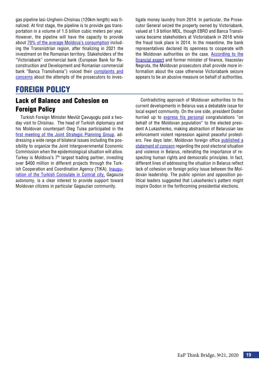gas pipeline Iasi-Ungheni-Chisinau (120km length) was finalized. At first stage, the pipeline is to provide gas transportation in a volume of 1.5 billion cubic meters per year. However, the pipeline will have the capacity to provide about [70% of the average Moldova's consumption](https://radiochisinau.md/ministerul-economiei-ofera-detalii-despre-gazoductul-unghenichisinau---115786.html) including the Transnistrian region, after finalizing in 2021 the investment on the Romanian territory. Stakeholders of the "Victoriabank" commercial bank (European Bank for Reconstruction and Development and Romanian commercial bank "Banca Transilvania") voiced their [complaints and](http://tvrmoldova.md/economic/investitorii-straini-sunt-nemultumiti-de-modul-in-care-procurorii-incearca-sa-recupereze-o-parte-din-banii-furati-din-sistemul-bancar-de-la-actionarii-victoriabank/) [concerns](http://tvrmoldova.md/economic/investitorii-straini-sunt-nemultumiti-de-modul-in-care-procurorii-incearca-sa-recupereze-o-parte-din-banii-furati-din-sistemul-bancar-de-la-actionarii-victoriabank/) about the attempts of the prosecutors to inves-

#### FOREIGN POLICY

#### Lack of Balance and Cohesion on Foreign Policy

Turkish Foreign Minister Mevlüt Çavuşoglu paid a twoday visit to Chisinau. The head of Turkish diplomacy and his Moldovan counterpart Oleg Tulea participated in the [first meeting of the Joint Strategic Planning Group](https://mfa.gov.md/ro/content/intrevederea-ministrului-oleg-tulea-cu-ministrul-afacerilor-externe-al-republicii-turcia), addressing a wide range of bilateral issues including the possibility to organize the Joint Intergovernmental Economic Commission when the epidemiological situation will allow. Turkey is Moldova's 7th largest trading partner, investing over \$400 million in different projects through the Turk-ish Cooperation and Coordination Agency (TIKA). [Inaugu](http://www.trm.md/ro/regional/consulatul-general-al-turciei-inaugurat-la-comrat)[ration of the Turkish Consulate in Comrat city,](http://www.trm.md/ro/regional/consulatul-general-al-turciei-inaugurat-la-comrat) Gagauzia autonomy, is a clear interest to provide support toward Moldovan citizens in particular Gagauzian community.

tigate money laundry from 2014. In particular, the Prosecutor General seized the property owned by Victoriabank, valued at 1.9 billion MDL, though EBRD and Banca Transilvania became stakeholders at Victoriabank in 2018 while the fraud took place in 2014. In the meantime, the bank representatives declared its openness to cooperate with the Moldovan authorities on the case. **[According to the](https://moldova.europalibera.org/a/veaceslav-negru%2525C8%25259Ba-at%2525C3%2525A2ta-timp-c%2525C3%2525A2t-procurorii-ofer%2525C4%252583-pu%2525C8%25259Bin%2525C4%252583-informa%2525C8%25259Bie-sechestrul-de-la-victoriabank-pare-o-m%2525C4%252583sur%2525C4%252583-abuziv%2525C4%252583/30780393.html?withmediaplayer=1&fbclid=IwAR3igJynt2l79ZT9QvA-1myeFRvvG3olKrncIJ67eP-O7eN5DfxegRCE_j0)** [financial expert](https://moldova.europalibera.org/a/veaceslav-negru%2525C8%25259Ba-at%2525C3%2525A2ta-timp-c%2525C3%2525A2t-procurorii-ofer%2525C4%252583-pu%2525C8%25259Bin%2525C4%252583-informa%2525C8%25259Bie-sechestrul-de-la-victoriabank-pare-o-m%2525C4%252583sur%2525C4%252583-abuziv%2525C4%252583/30780393.html?withmediaplayer=1&fbclid=IwAR3igJynt2l79ZT9QvA-1myeFRvvG3olKrncIJ67eP-O7eN5DfxegRCE_j0) and former minister of finance, Veaceslav Negruta, the Moldovan prosecutors shall provide more information about the case otherwise Victoriabank seizure appears to be an abusive measure on behalf of authorities.

Contradicting approach of Moldovan authorities to the current developments in Belarus was a debatable issue for local expert community. On the one side, president Dodon hurried up to [express his personal](https://www.facebook.com/dodon.igor1/photos/a.1615407755366779/2603786996528845/?type=3&theater) congratulations "on behalf of the Moldovan population" to the elected president A.Lukashenko, making abstraction of Belarusian law enforcement violent repression against peaceful protesters. Few days later, Moldovan foreign office [published a](https://mfa.gov.md/ro/content/cu-privire-la-situatia-postelectorala-din-republica-belarus) [statement of concern](https://mfa.gov.md/ro/content/cu-privire-la-situatia-postelectorala-din-republica-belarus) regarding the post electoral situation and violence in Belarus, reiterating the importance of respecting human rights and democratic principles. In fact, different lines of addressing the situation in Belarus reflect lack of cohesion on foreign policy issue between the Moldovan leadership. The public opinion and opposition political leaders suggested that Lukashenko's pattern might inspire Dodon in the forthcoming presidential elections.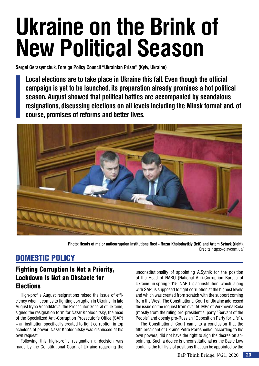# **Ukraine on the Brink of New Political Season**

**Sergei Gerasymchuk, Foreign Policy Council "Ukrainian Prism" (Kyiv, Ukraine)** 

**Local elections are to take place in Ukraine this fall. Even though the official campaign is yet to be launched, its preparation already promises a hot political season. August showed that political battles are accompanied by scandalous resignations, discussing elections on all levels including the Minsk format and, of course, promises of reforms and better lives.** 



**Photo: Heads of major anticorruprion institutions fired - Nazar Kholodnytkiy (left) and Artem Sytnyk (right).** Credits:https://glavcom.ua/

#### DOMESTIC POLICY

#### Fighting Corruption Is Not a Priority, Lockdown Is Not an Obstacle for **Elections**

High-profile August resignations raised the issue of efficiency when it comes to fighting corruption in Ukraine. In late August Iryna Venediktova, the Prosecutor General of Ukraine, signed the resignation form for Nazar Kholodnitsky, the head of the Specialized Anti-Corruption Prosecutor's Office (SAP) – an institution specifically created to fight corruption in top echelons of power. Nazar Kholodnitsky was dismissed at his own request.

Following this high-profile resignation a decision was made by the Constitutional Court of Ukraine regarding the unconstitutionality of appointing A.Sytnik for the position of the Head of NABU (National Anti-Corruption Bureau of Ukraine) in spring 2015. NABU is an institution, which, along with SAP, is supposed to fight corruption at the highest levels and which was created from scratch with the support coming from the West. The Constitutional Court of Ukraine addressed the issue on the request from over 50 MPs of Verkhovna Rada (mostly from the ruling pro-presidential party "Servant of the People" and openly pro-Russian "Opposition Party for Life").

The Constitutional Court came to a conclusion that the fifth president of Ukraine Petro Poroshenko, according to his own powers, did not have the right to sign the decree on appointing. Such a decree is unconstitutional as the Basic Law contains the full lists of positions that can be appointed by the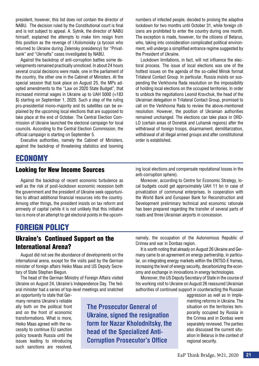president, however, this list does not contain the director of NABU. The decision ruled by the Constitutional court is final and is not subject to appeal. A. Sytnik, the director of NABU himself, explained the attempts to make him resign from this position as the revenge of I.Kolomoisky (a tycoon who returned to Ukraine during Zelensky presidency) for "Privatbank" and "Ukrnafta" cases investigated by NABU.

Against the backdrop of anti-corruption battles some developments remained practically unnoticed. In about 24 hours several crucial decisions were made, one in the parliament of the country, the other one in the Cabinet of Ministers. At the special session that took place on August 25, the MPs adopted amendments to the "Law on 2020 State Budget", that increased minimal wages in Ukraine up to UAH 5000 ( $\approx$ 183 \$) starting on September 1, 2020. Such a step of the ruling pro-presidential mono-majority and its satellites can be explained by the upcoming local elections that are supposed to take place at the end of October. The Central Election Commission of Ukraine launched the electoral campaign for local councils. According to the Central Election Commission, the official campaign is starting on September 5.

Executive authorities, namely the Cabinet of Ministers, against the backdrop of threatening statistics and looming numbers of infected people, decided to prolong the adaptive lockdown for two months until October 31, while foreign citizens are prohibited to enter the country during one month. The exception is made, however, for the citizens of Belarus, who, taking into consideration complicated political environment, will undergo a simplified entrance regime suggested by the President of Ukraine.

Lockdown limitations, in fact, will not influence the electoral process. The issue of local elections was one of the hottest issues on the agenda of the so-called Minsk format Trilateral Contact Group. In particular, Russia insists on suspending the Verkhovna Rada resolution on the impossibility of holding local elections on the occupied territories. In order to unblock the negotiations Leonid Kravchuk, the head of the Ukrainian delegation in Trilateral Contact Group, promised to call on the Verkhovna Rada to review the above-mentioned resolution. However, the position of Ukrainian authorities remained unchanged. The elections can take place in ORD-LO (certain areas of Donetsk and Luhansk regions) after the withdrawal of foreign troops, disarmament, demilitarization, withdrawal of all illegal armed groups and after constitutional order is established.

#### ECONOMY

#### Looking for New Income Sources

Against the backdrop of recent economic turbulence as well as the risk of post-lockdown economic recession both the government and the president of Ukraine seek opportunities to attract additional financial resources into the country. Among other things, the president insists on tax reform and amnesty of capital (while it is not unlikely that this initiative too is more of an attempt to get electoral points in the upcoming local elections and compensate reputational losses in the anti-corruption sphere).

Moreover, according to Centre for Economic Strategy, local budgets could get approximately UAH 11 bn in case of privatization of communal enterprises. In cooperation with the World Bank and European Bank for Reconstruction and Development preliminary technical and economic rationale has been prepared regarding the transfer of several parts of roads and three Ukrainian airports in concession.

#### FOREIGN POLICY

#### Ukraine's Continued Support on the International Arena?

August did not see the abundance of developments on the international arena, except for the visits paid by the German minister of foreign affairs Heiko Maas and US Deputy Secretary of State Stephen Biegun.

The head of the German Ministry of Foreign Affairs visited Ukraine on August 24, Ukraine's Independence Day. The federal minister had a series of top-level meetings and snatched

an opportunity to state that Germany remains Ukraine's reliable ally both on the political front and on the front of economic transformations. What is more, Heiko Maas agreed with the necessity to continue EU sanction policy towards Russia until the issues leading to introducing such sanctions are resolved,

**The Prosecutor General of Ukraine, signed the resignation form for Nazar Kholodnitsky, the head of the Specialized Anti-Corruption Prosecutor's Office**

namely, the occupation of the Autonomous Republic of Crimea and war in Donbas region.

It is worth noting that already on August 26 Ukraine and Germany came to an agreement on energy partnership, in particular, on integrating energy markets within the ENTSO-E frames, increasing the level of energy security, decarbonizing the economy and exchange in innovations in energy technologies.

Moreover, the US Deputy Secretary of State in the course of his working visit to Ukraine on August 26 reassured Ukrainian authorities of continued support in counteracting the Russian

> aggression as well as in implementing reforms in Ukraine. The situation on the territories temporarily occupied by Russia in the Crimea and in Donbas were separately reviewed. The parties also discussed the current situation in Belarus in the context of regional security.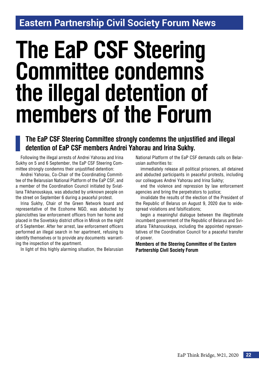### **Eastern Partnership Civil Society Forum News**

## **The EaP CSF Steering Committee condemns the illegal detention of members of the Forum**

#### **The EaP CSF Steering Committee strongly condemns the unjustified and illegal detention of EaP CSF members Andrei Yahorau and Irina Sukhy.**

Following the illegal arrests of Andrei Yahorau and Irina Sukhy on 5 and 6 September, the EaP CSF Steering Committee strongly condemns their unjustified detention:

Andrei Yahorau, Co-Chair of the Coordinating Committee of the Belarusian National Platform of the EaP CSF, and a member of the Coordination Council initiated by Sviatlana Tikhanouskaya, was abducted by unknown people on the street on September 6 during a peaceful protest.

Irina Sukhy, Chair of the Green Network board and representative of the Ecohome NGO, was abducted by plainclothes law enforcement officers from her home and placed in the Sovetskiy district office in Minsk on the night of 5 September. After her arrest, law enforcement officers performed an illegal search in her apartment, refusing to identify themselves or to provide any documents warranting the inspection of the apartment.

In light of this highly alarming situation, the Belarusian

National Platform of the EaP CSF demands calls on Belarusian authorities to:

immediately release all political prisoners, all detained and abducted participants in peaceful protests, including our colleagues Andrei Yahorau and Irina Sukhy;

end the violence and repression by law enforcement agencies and bring the perpetrators to justice;

invalidate the results of the election of the President of the Republic of Belarus on August 9, 2020 due to widespread violations and falsifications;

begin a meaningful dialogue between the illegitimate incumbent government of the Republic of Belarus and Sviatlana Tikhanouskaya, including the appointed representatives of the Coordination Council for a peaceful transfer of power.

**Members of the Steering Committee of the Eastern Partnership Civil Society Forum**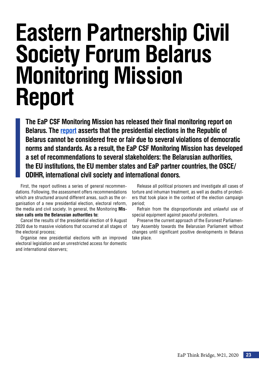## **Eastern Partnership Civil Society Forum Belarus Monitoring Mission Report**

**The EaP CSF Monitoring Mission has released their final monitoring report on Belarus. The [report](https://eap-csf.eu/wp-content/uploads/EaPCSF-Monitoring-Mission-report-Belarus-political-societal-developments-elections.pdf) asserts that the presidential elections in the Republic of Belarus cannot be considered free or fair due to several violations of democratic norms and standards. As a result, the EaP CSF Monitoring Mission has developed a set of recommendations to several stakeholders: the Belarusian authorities, the EU institutions, the EU member states and EaP partner countries, the OSCE/ ODIHR, international civil society and international donors.**

First, the report outlines a series of general recommendations. Following, the assessment offers recommendations which are structured around different areas, such as the organisation of a new presidential election, electoral reform, the media and civil society. In general, the Monitoring **Mission calls onto the Belarusian authorities to:**

Cancel the results of the presidential election of 9 August 2020 due to massive violations that occurred at all stages of the electoral process;

Organise new presidential elections with an improved electoral legislation and an unrestricted access for domestic and international observers;

Release all political prisoners and investigate all cases of torture and inhuman treatment, as well as deaths of protesters that took place in the context of the election campaign period;

Refrain from the disproportionate and unlawful use of special equipment against peaceful protesters.

Preserve the current approach of the Euronest Parliamentary Assembly towards the Belarusian Parliament without changes until significant positive developments in Belarus take place.